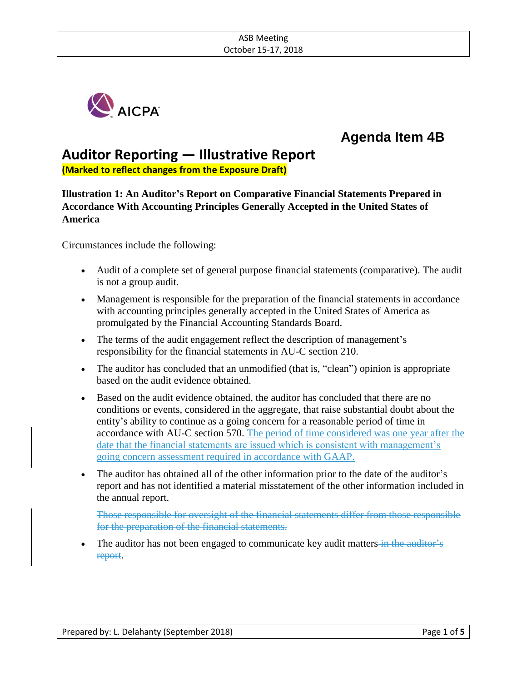

# **Agenda Item 4B**

# **Auditor Reporting — Illustrative Report**

**(Marked to reflect changes from the Exposure Draft)**

**Illustration 1: An Auditor's Report on Comparative Financial Statements Prepared in Accordance With Accounting Principles Generally Accepted in the United States of America**

Circumstances include the following:

- Audit of a complete set of general purpose financial statements (comparative). The audit is not a group audit.
- Management is responsible for the preparation of the financial statements in accordance with accounting principles generally accepted in the United States of America as promulgated by the Financial Accounting Standards Board.
- The terms of the audit engagement reflect the description of management's responsibility for the financial statements in AU-C section 210.
- The auditor has concluded that an unmodified (that is, "clean") opinion is appropriate based on the audit evidence obtained.
- Based on the audit evidence obtained, the auditor has concluded that there are no conditions or events, considered in the aggregate, that raise substantial doubt about the entity's ability to continue as a going concern for a reasonable period of time in accordance with AU-C section 570. The period of time considered was one year after the date that the financial statements are issued which is consistent with management's going concern assessment required in accordance with GAAP.
- The auditor has obtained all of the other information prior to the date of the auditor's report and has not identified a material misstatement of the other information included in the annual report.

Those responsible for oversight of the financial statements differ from those responsible for the preparation of the financial statements.

• The auditor has not been engaged to communicate key audit matters in the auditor's report.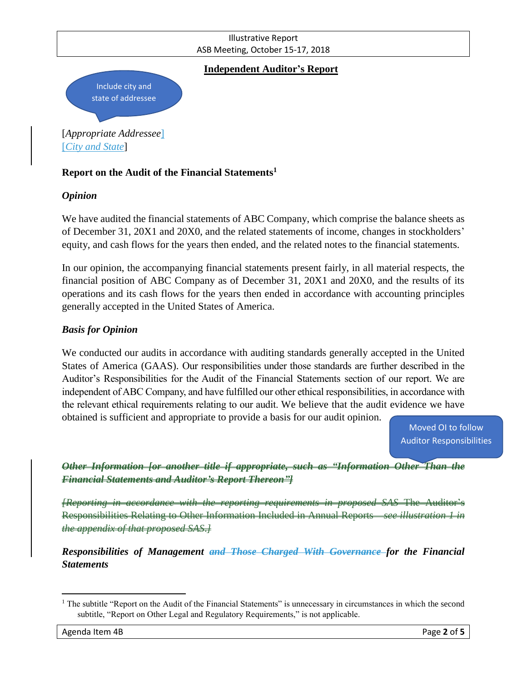

# **Report on the Audit of the Financial Statements<sup>1</sup>**

# *Opinion*

We have audited the financial statements of ABC Company, which comprise the balance sheets as of December 31, 20X1 and 20X0, and the related statements of income, changes in stockholders' equity, and cash flows for the years then ended, and the related notes to the financial statements.

In our opinion, the accompanying financial statements present fairly, in all material respects, the financial position of ABC Company as of December 31, 20X1 and 20X0, and the results of its operations and its cash flows for the years then ended in accordance with accounting principles generally accepted in the United States of America.

# *Basis for Opinion*

We conducted our audits in accordance with auditing standards generally accepted in the United States of America (GAAS). Our responsibilities under those standards are further described in the Auditor's Responsibilities for the Audit of the Financial Statements section of our report. We are independent of ABC Company, and have fulfilled our other ethical responsibilities, in accordance with the relevant ethical requirements relating to our audit. We believe that the audit evidence we have obtained is sufficient and appropriate to provide a basis for our audit opinion.

Moved OI to follow Auditor Responsibilities

*Other Information [or another title if appropriate, such as "Information Other Than the Financial Statements and Auditor's Report Thereon"]*

*[Reporting in accordance with the reporting requirements in proposed SAS* The Auditor's Responsibilities Relating to Other Information Included in Annual Reports—*see illustration 1 in the appendix of that proposed SAS*.*]*

*Responsibilities of Management and Those Charged With Governance for the Financial Statements*

 $\overline{\phantom{a}}$ 

<sup>&</sup>lt;sup>1</sup> The subtitle "Report on the Audit of the Financial Statements" is unnecessary in circumstances in which the second subtitle, "Report on Other Legal and Regulatory Requirements," is not applicable.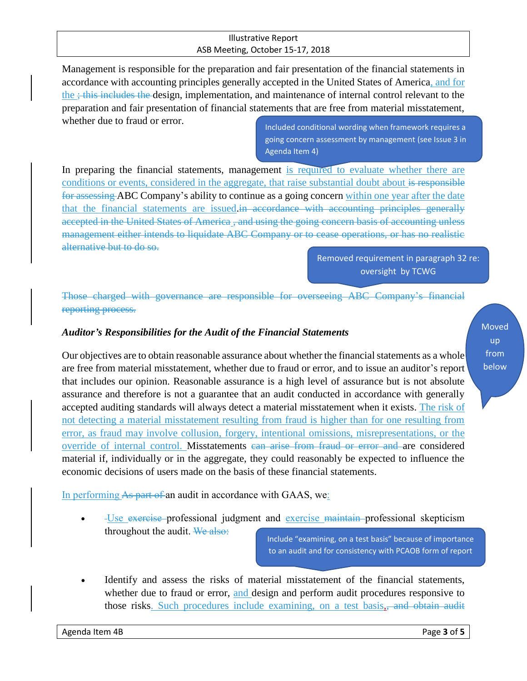#### Illustrative Report ASB Meeting, October 15-17, 2018

Management is responsible for the preparation and fair presentation of the financial statements in accordance with accounting principles generally accepted in the United States of America, and for the ; this includes the design, implementation, and maintenance of internal control relevant to the preparation and fair presentation of financial statements that are free from material misstatement, whether due to fraud or error.

Included conditional wording when framework requires a going concern assessment by management (see Issue 3 in Agenda Item 4)

In preparing the financial statements, management is required to evaluate whether there are conditions or events, considered in the aggregate, that raise substantial doubt about is responsible for assessing ABC Company's ability to continue as a going concern within one year after the date that the financial statements are issued in accordance with accounting principles generally accepted in the United States of America<sub>s</sub>, and using the going concern basis of accounting unless management either intends to liquidate ABC Company or to cease operations, or has no realistic alternative but to do so.

Removed requirement in paragraph 32 re: oversight by TCWG

Those charged with governance are responsible for overseeing ABC Company's financial reporting process.

# *Auditor's Responsibilities for the Audit of the Financial Statements*

Our objectives are to obtain reasonable assurance about whether the financial statements as a whole are free from material misstatement, whether due to fraud or error, and to issue an auditor's report that includes our opinion. Reasonable assurance is a high level of assurance but is not absolute assurance and therefore is not a guarantee that an audit conducted in accordance with generally accepted auditing standards will always detect a material misstatement when it exists. The risk of not detecting a material misstatement resulting from fraud is higher than for one resulting from error, as fraud may involve collusion, forgery, intentional omissions, misrepresentations, or the override of internal control. Misstatements can arise from fraud or error and are considered material if, individually or in the aggregate, they could reasonably be expected to influence the economic decisions of users made on the basis of these financial statements.

In performing As part of an audit in accordance with GAAS, we

• Use exercise professional judgment and exercise maintain professional skepticism throughout the audit. We also:

Include "examining, on a test basis" because of importance to an audit and for consistency with PCAOB form of report

• Identify and assess the risks of material misstatement of the financial statements, whether due to fraud or error, and design and perform audit procedures responsive to those risks. Such procedures include examining, on a test basis, and obtain audit Moved up from below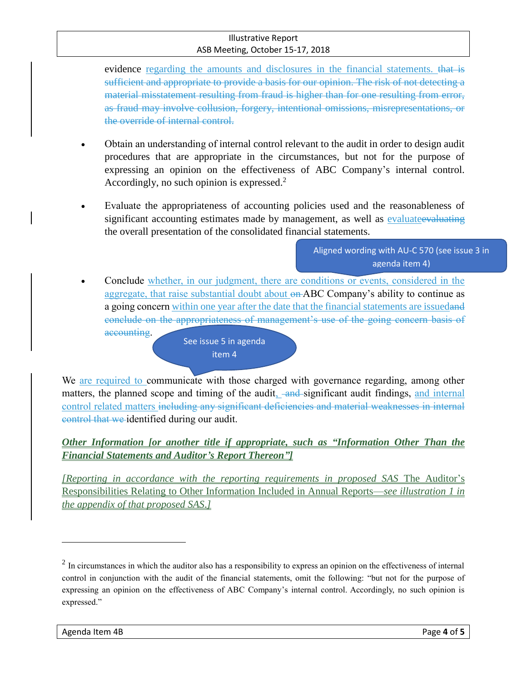#### Illustrative Report ASB Meeting, October 15-17, 2018

evidence regarding the amounts and disclosures in the financial statements. that is sufficient and appropriate to provide a basis for our opinion. The risk of not detecting a material misstatement resulting from fraud is higher than for one resulting from error, as fraud may involve collusion, forgery, intentional omissions, misrepresentations, or the override of internal control.

- Obtain an understanding of internal control relevant to the audit in order to design audit procedures that are appropriate in the circumstances, but not for the purpose of expressing an opinion on the effectiveness of ABC Company's internal control. Accordingly, no such opinion is expressed.<sup>2</sup>
- Evaluate the appropriateness of accounting policies used and the reasonableness of significant accounting estimates made by management, as well as evaluated evaluating the overall presentation of the consolidated financial statements.

Aligned wording with AU-C 570 (see issue 3 in agenda item 4)

Conclude whether, in our judgment, there are conditions or events, considered in the aggregate, that raise substantial doubt about on ABC Company's ability to continue as a going concern within one year after the date that the financial statements are issuedand conclude on the appropriateness of management's use of the going concern basis of accounting.

See issue 5 in agenda item 4

We are required to communicate with those charged with governance regarding, among other matters, the planned scope and timing of the audit, and significant audit findings, and internal control related matters including any significant deficiencies and material weaknesses in internal control that we identified during our audit.

*Other Information [or another title if appropriate, such as "Information Other Than the Financial Statements and Auditor's Report Thereon"]*

*[Reporting in accordance with the reporting requirements in proposed SAS* The Auditor's Responsibilities Relating to Other Information Included in Annual Reports—*see illustration 1 in the appendix of that proposed SAS*.*]*

 $\overline{\phantom{a}}$ 

 $2 \text{ In circumstances in which the auditory also has a responsibility to express an opinion on the effectiveness of internal$ control in conjunction with the audit of the financial statements, omit the following: "but not for the purpose of expressing an opinion on the effectiveness of ABC Company's internal control. Accordingly, no such opinion is expressed."